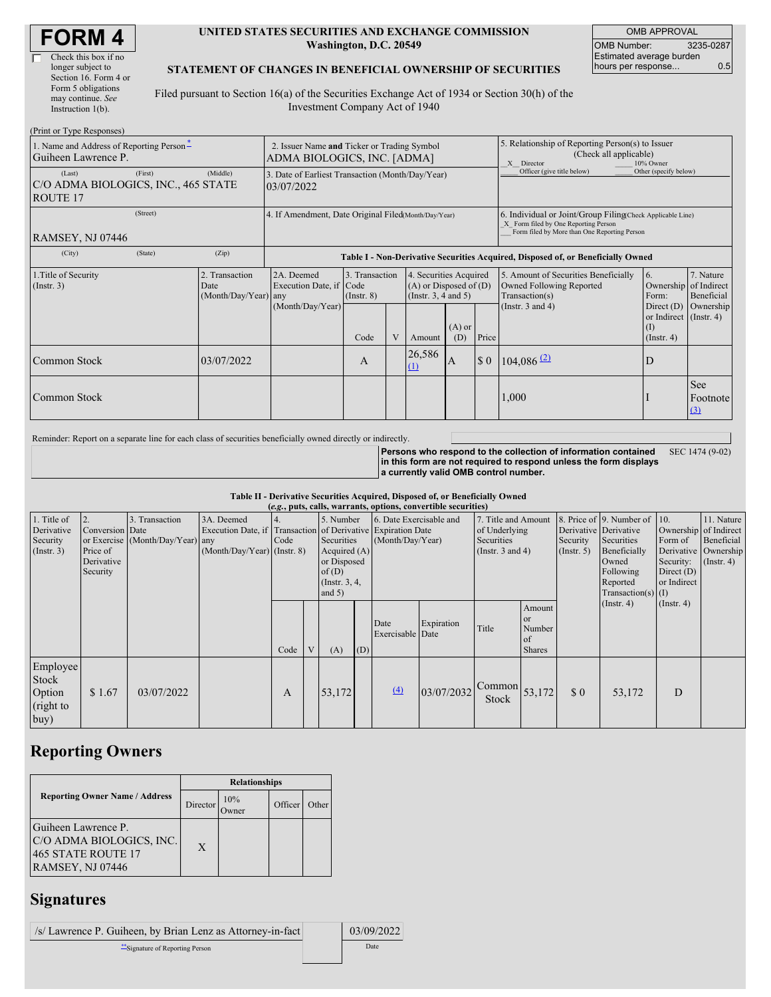| <b>FORM4</b> |
|--------------|
|--------------|

#### **UNITED STATES SECURITIES AND EXCHANGE COMMISSION Washington, D.C. 20549**

OMB APPROVAL OMB Number: 3235-0287 Estimated average burden hours per response... 0.5

#### **STATEMENT OF CHANGES IN BENEFICIAL OWNERSHIP OF SECURITIES**

Filed pursuant to Section 16(a) of the Securities Exchange Act of 1934 or Section 30(h) of the Investment Company Act of 1940

| (Print or Type Responses)                                        |                                                                |                                                      |                                                                                  |                                   |  |                                                                              |                                                                                                                                                    |                                                                                                       |                                                                                    |                                                                   |                         |
|------------------------------------------------------------------|----------------------------------------------------------------|------------------------------------------------------|----------------------------------------------------------------------------------|-----------------------------------|--|------------------------------------------------------------------------------|----------------------------------------------------------------------------------------------------------------------------------------------------|-------------------------------------------------------------------------------------------------------|------------------------------------------------------------------------------------|-------------------------------------------------------------------|-------------------------|
| 1. Name and Address of Reporting Person-<br>Guiheen Lawrence P.  |                                                                |                                                      | 2. Issuer Name and Ticker or Trading Symbol<br>ADMA BIOLOGICS, INC. [ADMA]       |                                   |  |                                                                              |                                                                                                                                                    | 5. Relationship of Reporting Person(s) to Issuer<br>(Check all applicable)<br>10% Owner<br>X Director |                                                                                    |                                                                   |                         |
| (Last)<br>C/O ADMA BIOLOGICS, INC., 465 STATE<br><b>ROUTE 17</b> | 3. Date of Earliest Transaction (Month/Day/Year)<br>03/07/2022 |                                                      |                                                                                  |                                   |  | Officer (give title below)                                                   | Other (specify below)                                                                                                                              |                                                                                                       |                                                                                    |                                                                   |                         |
| RAMSEY, NJ 07446                                                 |                                                                | 4. If Amendment, Date Original Filed(Month/Day/Year) |                                                                                  |                                   |  |                                                                              | 6. Individual or Joint/Group Filing Check Applicable Line)<br>X Form filed by One Reporting Person<br>Form filed by More than One Reporting Person |                                                                                                       |                                                                                    |                                                                   |                         |
| (City)                                                           | (State)                                                        | (Zip)                                                | Table I - Non-Derivative Securities Acquired, Disposed of, or Beneficially Owned |                                   |  |                                                                              |                                                                                                                                                    |                                                                                                       |                                                                                    |                                                                   |                         |
| 1. Title of Security<br>$($ Instr. 3 $)$<br>Date                 |                                                                | 2. Transaction<br>(Month/Day/Year) any               | 2A. Deemed<br>Execution Date, if Code                                            | 3. Transaction<br>$($ Instr. $8)$ |  | 4. Securities Acquired<br>$(A)$ or Disposed of $(D)$<br>(Insert. 3, 4 and 5) |                                                                                                                                                    |                                                                                                       | 5. Amount of Securities Beneficially<br>Owned Following Reported<br>Transaction(s) | 16.<br>Ownership of Indirect<br>Form:                             | 7. Nature<br>Beneficial |
|                                                                  |                                                                |                                                      | (Month/Day/Year)                                                                 | Code                              |  | Amount                                                                       | $(A)$ or<br>(D)                                                                                                                                    | Price                                                                                                 | (Instr. $3$ and $4$ )                                                              | Direct $(D)$<br>or Indirect (Instr. 4)<br>(1)<br>$($ Instr. 4 $)$ | Ownership               |
| Common Stock                                                     |                                                                | 03/07/2022                                           |                                                                                  | A                                 |  | 26,586<br>(1)                                                                | IA                                                                                                                                                 | $\boldsymbol{\mathsf{S}}$ 0                                                                           | $104,086$ <sup>(2)</sup>                                                           | D                                                                 |                         |
| Common Stock                                                     |                                                                |                                                      |                                                                                  |                                   |  |                                                                              |                                                                                                                                                    |                                                                                                       | 1,000                                                                              |                                                                   | See<br>Footnote<br>(3)  |

Reminder: Report on a separate line for each class of securities beneficially owned directly or indirectly.

**Persons who respond to the collection of information contained in this form are not required to respond unless the form displays a currently valid OMB control number.** SEC 1474 (9-02)

**Table II - Derivative Securities Acquired, Disposed of, or Beneficially Owned**

|                                                      | (e.g., puts, calls, warrants, options, convertible securities) |                                                    |                                                                                                             |      |                |                                                                                                  |     |                                             |            |                                                                             |                                                             |                             |                                                                                                                                                               |                                                     |                                                                                              |
|------------------------------------------------------|----------------------------------------------------------------|----------------------------------------------------|-------------------------------------------------------------------------------------------------------------|------|----------------|--------------------------------------------------------------------------------------------------|-----|---------------------------------------------|------------|-----------------------------------------------------------------------------|-------------------------------------------------------------|-----------------------------|---------------------------------------------------------------------------------------------------------------------------------------------------------------|-----------------------------------------------------|----------------------------------------------------------------------------------------------|
| 1. Title of<br>Derivative<br>Security<br>(Insert. 3) | Conversion Date<br>Price of<br>Derivative<br>Security          | 3. Transaction<br>or Exercise (Month/Day/Year) any | 3A. Deemed<br>Execution Date, if Transaction of Derivative Expiration Date<br>$(Month/Day/Year)$ (Instr. 8) | Code |                | 5. Number<br>Securities<br>Acquired $(A)$<br>or Disposed<br>of(D)<br>(Instr. $3, 4,$<br>and $5)$ |     | 6. Date Exercisable and<br>(Month/Day/Year) |            | 7. Title and Amount<br>of Underlying<br>Securities<br>(Instr. $3$ and $4$ ) |                                                             | Security<br>(Insert. 5)     | 8. Price of $\vert$ 9. Number of $\vert$ 10.<br>Derivative Derivative<br>Securities<br>Beneficially<br>Owned<br>Following<br>Reported<br>$Transaction(s)$ (I) | Form of<br>Security:<br>Direct $(D)$<br>or Indirect | 11. Nature<br>Ownership of Indirect<br>Beneficial<br>Derivative   Ownership<br>$($ Instr. 4) |
|                                                      |                                                                |                                                    |                                                                                                             | Code | $\overline{V}$ | (A)                                                                                              | (D) | Date<br>Exercisable Date                    | Expiration | Title                                                                       | Amount<br><b>or</b><br>Number<br><b>of</b><br><b>Shares</b> |                             | (Insert 4)                                                                                                                                                    | $($ Instr. 4 $)$                                    |                                                                                              |
| Employee<br>Stock<br>Option<br>(right to<br>buy)     | \$1.67                                                         | 03/07/2022                                         |                                                                                                             | A    |                | 53,172                                                                                           |     | (4)                                         | 03/07/2032 | $\sqrt{\text{Common}}$ 53,172<br>Stock                                      |                                                             | $\boldsymbol{\mathsf{S}}$ 0 | 53,172                                                                                                                                                        | D                                                   |                                                                                              |

# **Reporting Owners**

|                                                                                                  | <b>Relationships</b> |                      |         |       |  |  |  |
|--------------------------------------------------------------------------------------------------|----------------------|----------------------|---------|-------|--|--|--|
| <b>Reporting Owner Name / Address</b>                                                            | Director             | 10%<br><b>J</b> wner | Officer | Other |  |  |  |
| Guiheen Lawrence P.<br>C/O ADMA BIOLOGICS, INC.<br><b>465 STATE ROUTE 17</b><br>RAMSEY, NJ 07446 | $\mathbf{X}$         |                      |         |       |  |  |  |

# **Signatures**

/s/ Lawrence P. Guiheen, by Brian Lenz as Attorney-in-fact 03/09/2022 \*\*Signature of Reporting Person Date